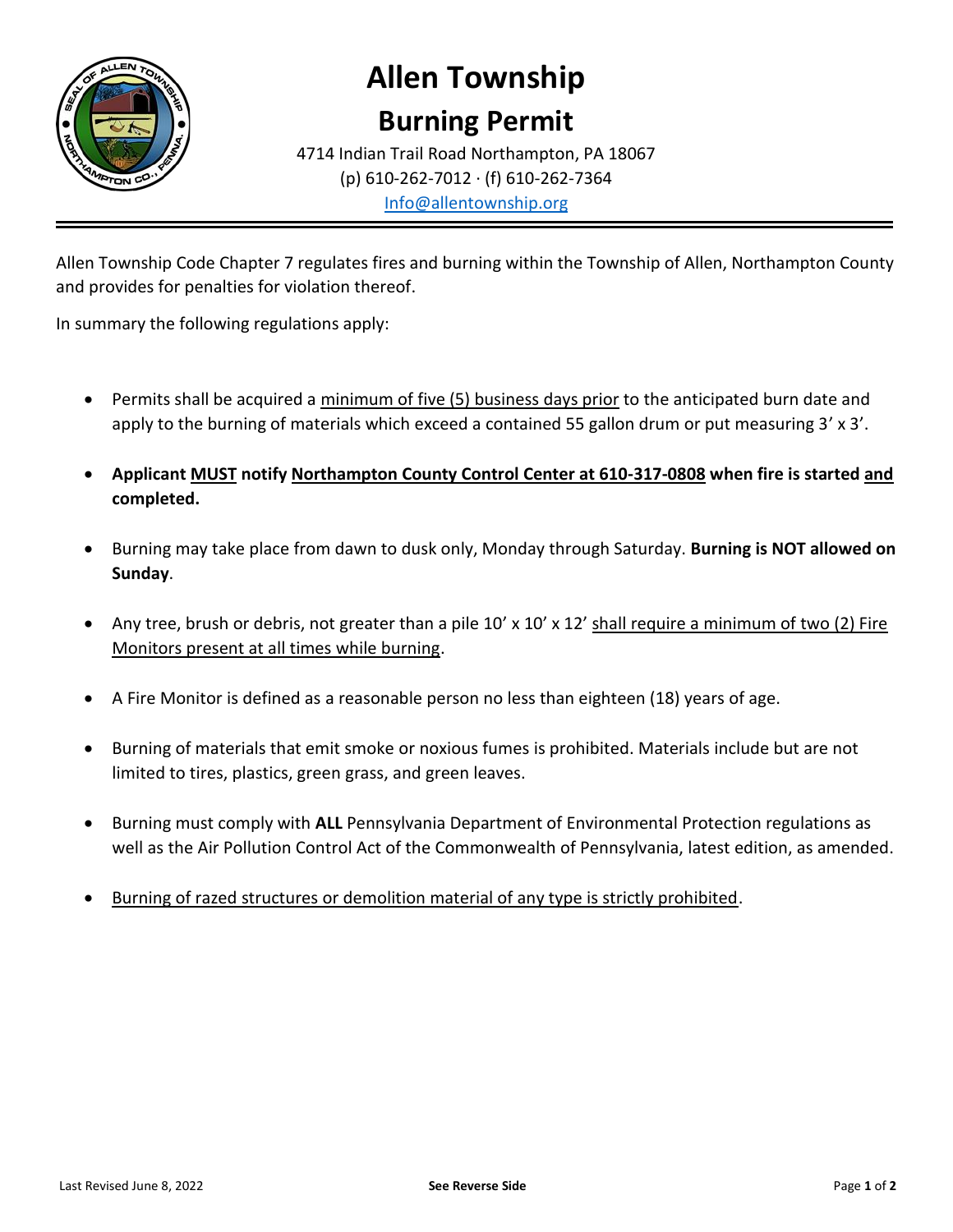

## **Allen Township**

## **Burning Permit**

4714 Indian Trail Road Northampton, PA 18067 (p) 610-262-7012 · (f) 610-262-7364 [Info@allentownship.org](mailto:Info@allentownship.org)

Allen Township Code Chapter 7 regulates fires and burning within the Township of Allen, Northampton County and provides for penalties for violation thereof.

In summary the following regulations apply:

- Permits shall be acquired a minimum of five (5) business days prior to the anticipated burn date and apply to the burning of materials which exceed a contained 55 gallon drum or put measuring 3' x 3'.
- **Applicant MUST notify Northampton County Control Center at 610-317-0808 when fire is started and completed.**
- Burning may take place from dawn to dusk only, Monday through Saturday. **Burning is NOT allowed on Sunday**.
- Any tree, brush or debris, not greater than a pile 10' x 10' x 12' shall require a minimum of two (2) Fire Monitors present at all times while burning.
- A Fire Monitor is defined as a reasonable person no less than eighteen (18) years of age.
- Burning of materials that emit smoke or noxious fumes is prohibited. Materials include but are not limited to tires, plastics, green grass, and green leaves.
- Burning must comply with **ALL** Pennsylvania Department of Environmental Protection regulations as well as the Air Pollution Control Act of the Commonwealth of Pennsylvania, latest edition, as amended.
- Burning of razed structures or demolition material of any type is strictly prohibited.